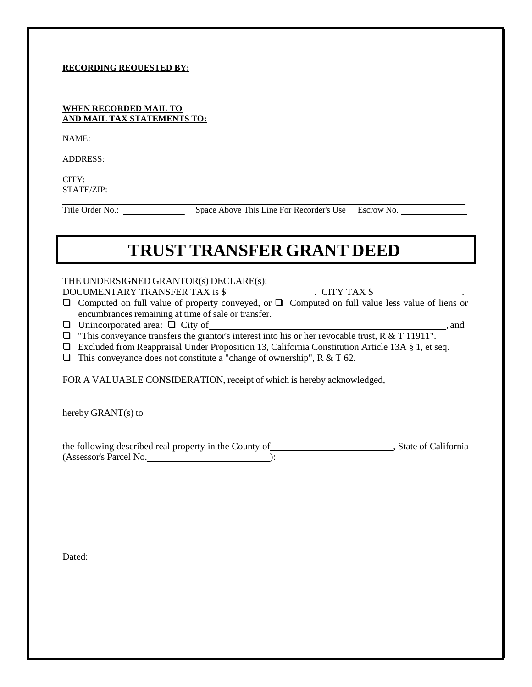#### **RECORDING REQUESTED BY:**

### **WHEN RECORDED MAIL TO AND MAIL TAX STATEMENTS TO:**

NAME:

ADDRESS:

 $CITY$ STATE/ZIP:

Title Order No.: Space Above This Line For Recorder's Use Escrow No.

# **TRUST TRANSFER GRANT DEED**

## THE UNDERSIGNED GRANTOR(s) DECLARE(s):

DOCUMENTARY TRANSFER TAX is \$ . CITY TAX \$ .

 $\Box$  Computed on full value of property conveyed, or  $\Box$  Computed on full value less value of liens or encumbrances remaining at time of sale or transfer.

- Unincorporated area: City of , and
- $\Box$  "This conveyance transfers the grantor's interest into his or her revocable trust, R & T 11911".
- □ Excluded from Reappraisal Under Proposition 13, California Constitution Article 13A § 1, et seq.
- $\Box$  This conveyance does not constitute a "change of ownership", R & T 62.

FOR A VALUABLE CONSIDERATION, receipt of which is hereby acknowledged,

hereby GRANT(s) to

the following described real property in the County of **contained a state of California** , State of California (Assessor's Parcel No. ):

Dated: